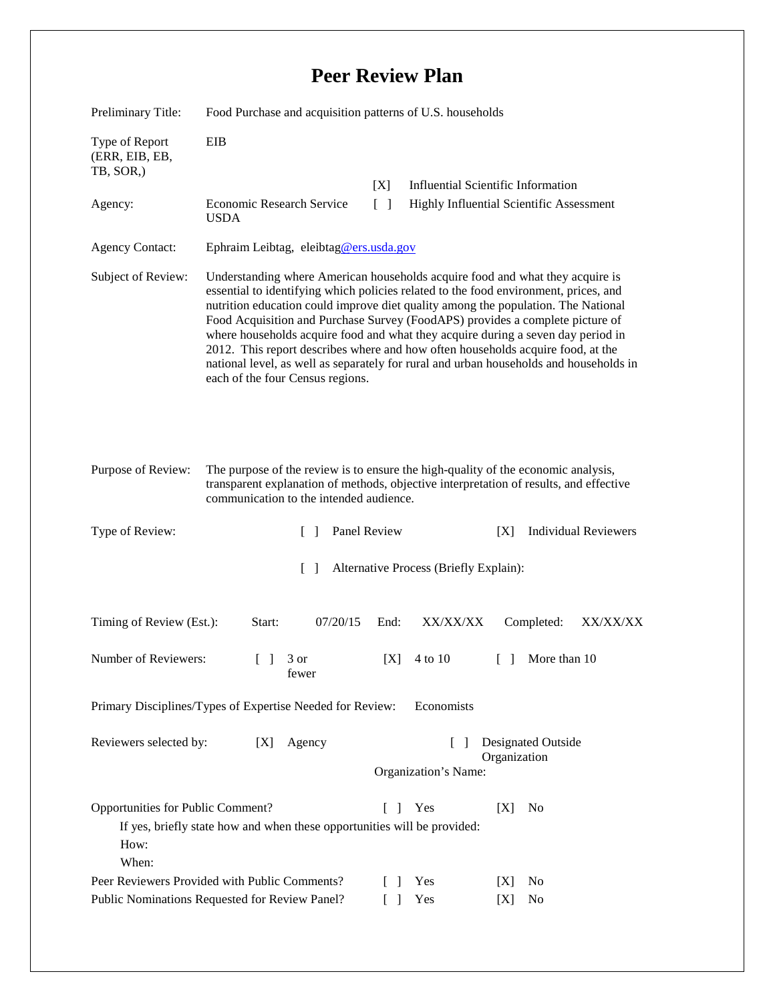## **Peer Review Plan**

| Preliminary Title:                                                                                                                                                                             | Food Purchase and acquisition patterns of U.S. households                                                                                                                                                                                                                                                                                                                                                                                                                                                                                                                                                                                        |                                                                                   |                                          |                                           |
|------------------------------------------------------------------------------------------------------------------------------------------------------------------------------------------------|--------------------------------------------------------------------------------------------------------------------------------------------------------------------------------------------------------------------------------------------------------------------------------------------------------------------------------------------------------------------------------------------------------------------------------------------------------------------------------------------------------------------------------------------------------------------------------------------------------------------------------------------------|-----------------------------------------------------------------------------------|------------------------------------------|-------------------------------------------|
| Type of Report<br>(ERR, EIB, EB,<br>TB, SOR,)                                                                                                                                                  | <b>EIB</b>                                                                                                                                                                                                                                                                                                                                                                                                                                                                                                                                                                                                                                       |                                                                                   |                                          |                                           |
|                                                                                                                                                                                                |                                                                                                                                                                                                                                                                                                                                                                                                                                                                                                                                                                                                                                                  | [X]                                                                               |                                          | <b>Influential Scientific Information</b> |
| Agency:                                                                                                                                                                                        | Economic Research Service<br><b>USDA</b>                                                                                                                                                                                                                                                                                                                                                                                                                                                                                                                                                                                                         | $\lceil \rceil$                                                                   | Highly Influential Scientific Assessment |                                           |
| <b>Agency Contact:</b>                                                                                                                                                                         | Ephraim Leibtag, eleibtag@ers.usda.gov                                                                                                                                                                                                                                                                                                                                                                                                                                                                                                                                                                                                           |                                                                                   |                                          |                                           |
| Subject of Review:                                                                                                                                                                             | Understanding where American households acquire food and what they acquire is<br>essential to identifying which policies related to the food environment, prices, and<br>nutrition education could improve diet quality among the population. The National<br>Food Acquisition and Purchase Survey (FoodAPS) provides a complete picture of<br>where households acquire food and what they acquire during a seven day period in<br>2012. This report describes where and how often households acquire food, at the<br>national level, as well as separately for rural and urban households and households in<br>each of the four Census regions. |                                                                                   |                                          |                                           |
| Purpose of Review:                                                                                                                                                                             | The purpose of the review is to ensure the high-quality of the economic analysis,<br>transparent explanation of methods, objective interpretation of results, and effective<br>communication to the intended audience.                                                                                                                                                                                                                                                                                                                                                                                                                           |                                                                                   |                                          |                                           |
| Type of Review:                                                                                                                                                                                | $\mathcal{L}$                                                                                                                                                                                                                                                                                                                                                                                                                                                                                                                                                                                                                                    | Panel Review                                                                      |                                          | <b>Individual Reviewers</b><br>[X]        |
| Alternative Process (Briefly Explain):<br>$\mathcal{L}$                                                                                                                                        |                                                                                                                                                                                                                                                                                                                                                                                                                                                                                                                                                                                                                                                  |                                                                                   |                                          |                                           |
| Timing of Review (Est.):                                                                                                                                                                       | Start:<br>07/20/15                                                                                                                                                                                                                                                                                                                                                                                                                                                                                                                                                                                                                               | End:                                                                              | XX/XX/XX                                 | Completed:<br>XX/XX/XX                    |
| Number of Reviewers:                                                                                                                                                                           | $\begin{bmatrix} 1 & 3 \end{bmatrix}$<br>fewer                                                                                                                                                                                                                                                                                                                                                                                                                                                                                                                                                                                                   | [X]                                                                               | 4 to 10                                  | More than 10<br>$\Box$                    |
| Primary Disciplines/Types of Expertise Needed for Review:<br>Economists                                                                                                                        |                                                                                                                                                                                                                                                                                                                                                                                                                                                                                                                                                                                                                                                  |                                                                                   |                                          |                                           |
| Reviewers selected by:<br>[X]<br>Agency                                                                                                                                                        |                                                                                                                                                                                                                                                                                                                                                                                                                                                                                                                                                                                                                                                  | <b>Designated Outside</b><br>$\mathbf{I}$<br>Organization<br>Organization's Name: |                                          |                                           |
|                                                                                                                                                                                                |                                                                                                                                                                                                                                                                                                                                                                                                                                                                                                                                                                                                                                                  |                                                                                   |                                          |                                           |
| Opportunities for Public Comment?<br>Yes<br>[X]<br>N <sub>0</sub><br>$\mathbf{L}$<br>$\mathbf{I}$<br>If yes, briefly state how and when these opportunities will be provided:<br>How:<br>When: |                                                                                                                                                                                                                                                                                                                                                                                                                                                                                                                                                                                                                                                  |                                                                                   |                                          |                                           |
| Peer Reviewers Provided with Public Comments?                                                                                                                                                  |                                                                                                                                                                                                                                                                                                                                                                                                                                                                                                                                                                                                                                                  |                                                                                   | Yes                                      | No<br>[X]                                 |
| Public Nominations Requested for Review Panel?                                                                                                                                                 |                                                                                                                                                                                                                                                                                                                                                                                                                                                                                                                                                                                                                                                  |                                                                                   | Yes                                      | No<br>[X]                                 |